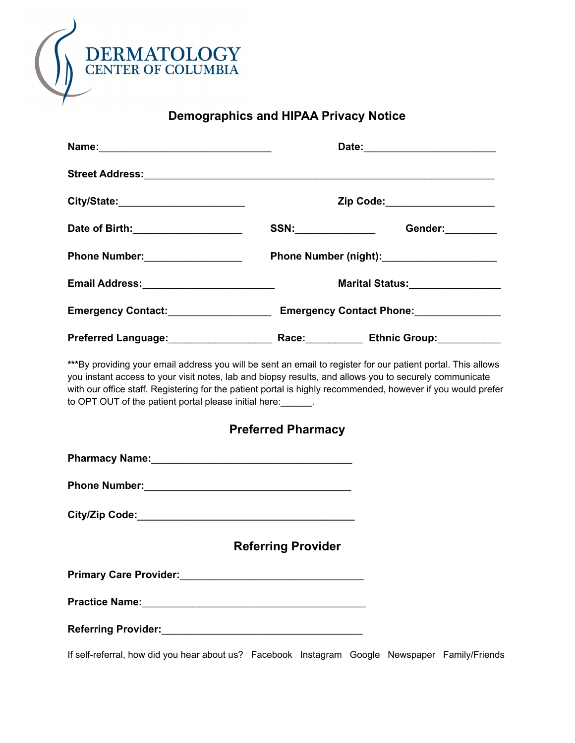

# **Demographics and HIPAA Privacy Notice**

| City/State:_______________________                                                                                                                                                                                                                                                                                                                                                               |                           | Zip Code:___________________                |
|--------------------------------------------------------------------------------------------------------------------------------------------------------------------------------------------------------------------------------------------------------------------------------------------------------------------------------------------------------------------------------------------------|---------------------------|---------------------------------------------|
| Date of Birth: _____________________                                                                                                                                                                                                                                                                                                                                                             |                           | SSN:_________________<br>Gender:            |
| Phone Number: __________________                                                                                                                                                                                                                                                                                                                                                                 |                           | Phone Number (night): _____________________ |
| Email Address:__________________________                                                                                                                                                                                                                                                                                                                                                         |                           | Marital Status:_________________            |
|                                                                                                                                                                                                                                                                                                                                                                                                  |                           |                                             |
|                                                                                                                                                                                                                                                                                                                                                                                                  |                           |                                             |
| *** By providing your email address you will be sent an email to register for our patient portal. This allows<br>you instant access to your visit notes, lab and biopsy results, and allows you to securely communicate<br>with our office staff. Registering for the patient portal is highly recommended, however if you would prefer<br>to OPT OUT of the patient portal please initial here: | <b>Preferred Pharmacy</b> |                                             |
|                                                                                                                                                                                                                                                                                                                                                                                                  |                           |                                             |
|                                                                                                                                                                                                                                                                                                                                                                                                  |                           |                                             |
|                                                                                                                                                                                                                                                                                                                                                                                                  |                           |                                             |
|                                                                                                                                                                                                                                                                                                                                                                                                  | <b>Referring Provider</b> |                                             |
| Primary Care Provider: Manual According to the Primary Care Provider:                                                                                                                                                                                                                                                                                                                            |                           |                                             |
| Practice Name: Manual According to the Contract of the Contract of the Contract of the Contract of the Contract of the Contract of the Contract of the Contract of the Contract of the Contract of the Contract of the Contrac                                                                                                                                                                   |                           |                                             |
|                                                                                                                                                                                                                                                                                                                                                                                                  |                           |                                             |

If self-referral, how did you hear about us? Facebook Instagram Google Newspaper Family/Friends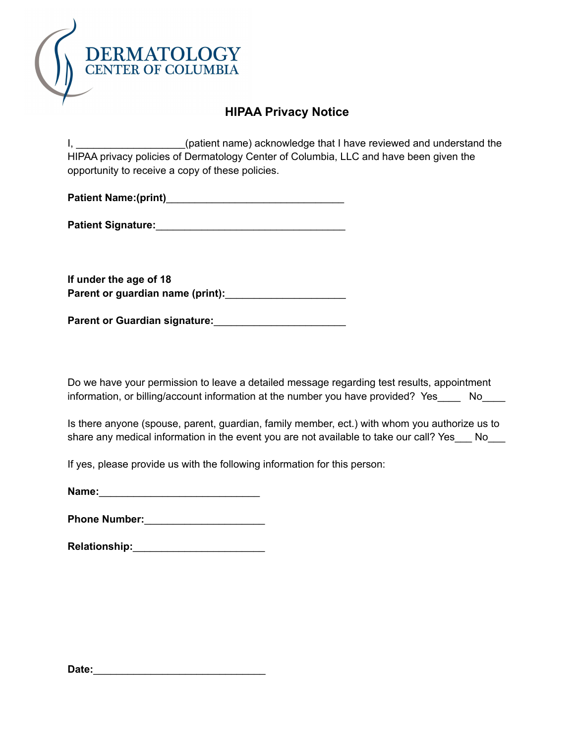

# **HIPAA Privacy Notice**

I, \_\_\_\_\_\_\_\_\_\_\_\_\_\_\_\_\_\_\_(patient name) acknowledge that I have reviewed and understand the HIPAA privacy policies of Dermatology Center of Columbia, LLC and have been given the opportunity to receive a copy of these policies.

**Patient Name:(print)**\_\_\_\_\_\_\_\_\_\_\_\_\_\_\_\_\_\_\_\_\_\_\_\_\_\_\_\_\_\_\_

| <b>Patient Signature:</b> |  |
|---------------------------|--|
|                           |  |

**If under the age of 18 Parent or guardian name (print):**\_\_\_\_\_\_\_\_\_\_\_\_\_\_\_\_\_\_\_\_\_

**Parent or Guardian signature:**\_\_\_\_\_\_\_\_\_\_\_\_\_\_\_\_\_\_\_\_\_\_\_

Do we have your permission to leave a detailed message regarding test results, appointment information, or billing/account information at the number you have provided? Yes No

Is there anyone (spouse, parent, guardian, family member, ect.) with whom you authorize us to share any medical information in the event you are not available to take our call? Yes No

If yes, please provide us with the following information for this person:

| Name: |  |  |  |
|-------|--|--|--|
|       |  |  |  |

**Phone Number:**\_\_\_\_\_\_\_\_\_\_\_\_\_\_\_\_\_\_\_\_\_

**Relationship:**\_\_\_\_\_\_\_\_\_\_\_\_\_\_\_\_\_\_\_\_\_\_\_

**Date:**\_\_\_\_\_\_\_\_\_\_\_\_\_\_\_\_\_\_\_\_\_\_\_\_\_\_\_\_\_\_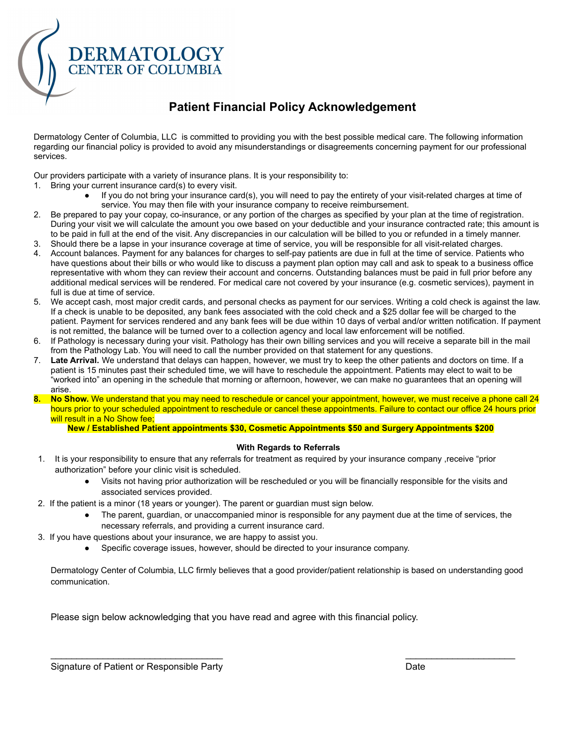

# **Patient Financial Policy Acknowledgement**

Dermatology Center of Columbia, LLC is committed to providing you with the best possible medical care. The following information regarding our financial policy is provided to avoid any misunderstandings or disagreements concerning payment for our professional services.

Our providers participate with a variety of insurance plans. It is your responsibility to:

- 1. Bring your current insurance card(s) to every visit.
	- If you do not bring your insurance card(s), you will need to pay the entirety of your visit-related charges at time of service. You may then file with your insurance company to receive reimbursement.
- 2. Be prepared to pay your copay, co-insurance, or any portion of the charges as specified by your plan at the time of registration. During your visit we will calculate the amount you owe based on your deductible and your insurance contracted rate; this amount is to be paid in full at the end of the visit. Any discrepancies in our calculation will be billed to you or refunded in a timely manner.
- 3. Should there be a lapse in your insurance coverage at time of service, you will be responsible for all visit-related charges.
- 4. Account balances. Payment for any balances for charges to self-pay patients are due in full at the time of service. Patients who have questions about their bills or who would like to discuss a payment plan option may call and ask to speak to a business office representative with whom they can review their account and concerns. Outstanding balances must be paid in full prior before any additional medical services will be rendered. For medical care not covered by your insurance (e.g. cosmetic services), payment in full is due at time of service.
- 5. We accept cash, most major credit cards, and personal checks as payment for our services. Writing a cold check is against the law. If a check is unable to be deposited, any bank fees associated with the cold check and a \$25 dollar fee will be charged to the patient. Payment for services rendered and any bank fees will be due within 10 days of verbal and/or written notification. If payment is not remitted, the balance will be turned over to a collection agency and local law enforcement will be notified.
- 6. If Pathology is necessary during your visit. Pathology has their own billing services and you will receive a separate bill in the mail from the Pathology Lab. You will need to call the number provided on that statement for any questions.
- 7. **Late Arrival.** We understand that delays can happen, however, we must try to keep the other patients and doctors on time. If a patient is 15 minutes past their scheduled time, we will have to reschedule the appointment. Patients may elect to wait to be "worked into" an opening in the schedule that morning or afternoon, however, we can make no guarantees that an opening will arise.
- **8. No Show.** We understand that you may need to reschedule or cancel your appointment, however, we must receive a phone call 24 hours prior to your scheduled appointment to reschedule or cancel these appointments. Failure to contact our office 24 hours prior will result in a No Show fee;

#### **New / Established Patient appointments \$30, Cosmetic Appointments \$50 and Surgery Appointments \$200**

#### **With Regards to Referrals**

- 1. It is your responsibility to ensure that any referrals for treatment as required by your insurance company ,receive "prior authorization" before your clinic visit is scheduled.
	- Visits not having prior authorization will be rescheduled or you will be financially responsible for the visits and associated services provided.
- 2. If the patient is a minor (18 years or younger). The parent or guardian must sign below.
	- The parent, guardian, or unaccompanied minor is responsible for any payment due at the time of services, the necessary referrals, and providing a current insurance card.
- 3. If you have questions about your insurance, we are happy to assist you.
	- Specific coverage issues, however, should be directed to your insurance company.

Dermatology Center of Columbia, LLC firmly believes that a good provider/patient relationship is based on understanding good communication.

 $\mathcal{L}_\text{max}$  , and the contribution of the contribution of the contribution of the contribution of the contribution of the contribution of the contribution of the contribution of the contribution of the contribution of t

Please sign below acknowledging that you have read and agree with this financial policy.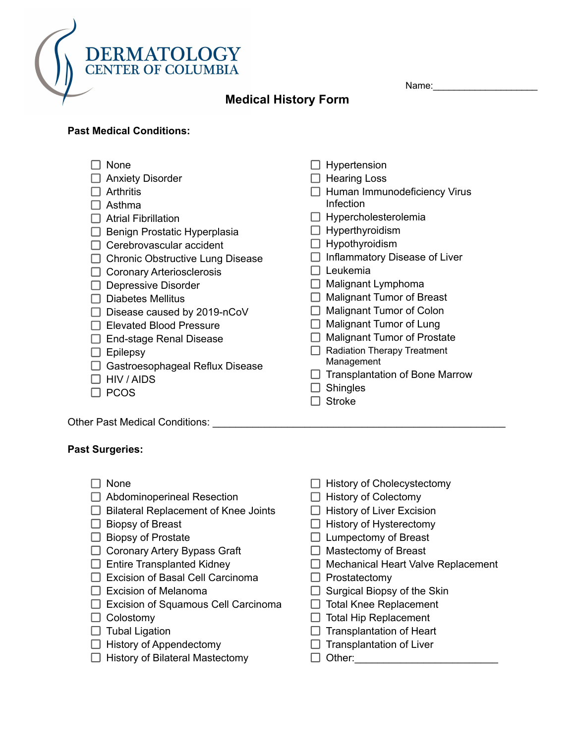

**Past Medical Conditions:**

Name:\_\_\_\_\_\_\_\_\_\_\_\_\_\_\_\_\_\_\_\_

| None                                    | Hypertension                          |
|-----------------------------------------|---------------------------------------|
| <b>Anxiety Disorder</b>                 | <b>Hearing Loss</b>                   |
| <b>Arthritis</b>                        | Human Immunodeficiency Virus          |
| Asthma                                  | Infection                             |
| <b>Atrial Fibrillation</b>              | Hypercholesterolemia                  |
| Benign Prostatic Hyperplasia            | Hyperthyroidism                       |
| Cerebrovascular accident                | Hypothyroidism                        |
| <b>Chronic Obstructive Lung Disease</b> | Inflammatory Disease of Liver         |
| <b>Coronary Arteriosclerosis</b>        | Leukemia                              |
| Depressive Disorder                     | Malignant Lymphoma                    |
| <b>Diabetes Mellitus</b>                | <b>Malignant Tumor of Breast</b>      |
| Disease caused by 2019-nCoV             | <b>Malignant Tumor of Colon</b>       |
| <b>Elevated Blood Pressure</b>          | Malignant Tumor of Lung               |
| <b>End-stage Renal Disease</b>          | <b>Malignant Tumor of Prostate</b>    |
| Epilepsy                                | <b>Radiation Therapy Treatment</b>    |
| Gastroesophageal Reflux Disease         | Management                            |
| HIV / AIDS                              | <b>Transplantation of Bone Marrow</b> |
| <b>PCOS</b>                             | <b>Shingles</b>                       |
|                                         | <b>Stroke</b>                         |
| <b>Other Past Medical Conditions:</b>   |                                       |

## **Past Surgeries:**

| None                                        | <b>History of Cholecystectomy</b>         |
|---------------------------------------------|-------------------------------------------|
| Abdominoperineal Resection                  | <b>History of Colectomy</b>               |
| <b>Bilateral Replacement of Knee Joints</b> | <b>History of Liver Excision</b>          |
| <b>Biopsy of Breast</b>                     | History of Hysterectomy                   |
| <b>Biopsy of Prostate</b>                   | Lumpectomy of Breast                      |
| <b>Coronary Artery Bypass Graft</b>         | Mastectomy of Breast                      |
| <b>Entire Transplanted Kidney</b>           | <b>Mechanical Heart Valve Replacement</b> |
| <b>Excision of Basal Cell Carcinoma</b>     | Prostatectomy                             |
| <b>Excision of Melanoma</b>                 | Surgical Biopsy of the Skin               |
| Excision of Squamous Cell Carcinoma         | <b>Total Knee Replacement</b>             |
| Colostomy                                   | <b>Total Hip Replacement</b>              |
| Tubal Ligation                              | <b>Transplantation of Heart</b>           |
| <b>History of Appendectomy</b>              | <b>Transplantation of Liver</b>           |
| <b>History of Bilateral Mastectomy</b>      | Other:                                    |
|                                             |                                           |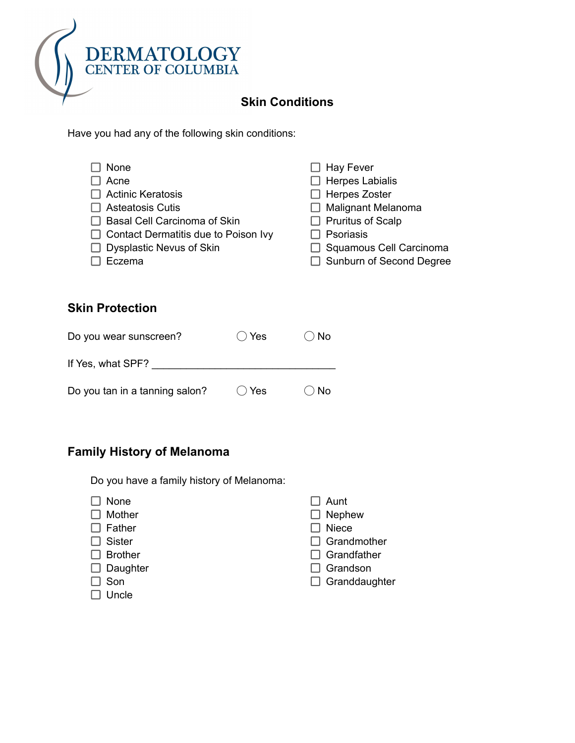

# **Skin Conditions**

Have you had any of the following skin conditions:

| None                                        | $\Box$ Hay Fever           |
|---------------------------------------------|----------------------------|
| Acne                                        | $\Box$ Herpes Labialis     |
| $\Box$ Actinic Keratosis                    | $\Box$ Herpes Zoster       |
| $\Box$ Asteatosis Cutis                     | $\Box$ Malignant Melanoma  |
| $\Box$ Basal Cell Carcinoma of Skin         | $\Box$ Pruritus of Scalp   |
| $\Box$ Contact Dermatitis due to Poison Ivy | $\Box$ Psoriasis           |
| $\Box$ Dysplastic Nevus of Skin             | □ Squamous Cell Carcinoma  |
| Eczema                                      | □ Sunburn of Second Degree |

## **Skin Protection**

| Do you wear sunscreen?         | $\bigcirc$ Yes | $\bigcirc$ No |
|--------------------------------|----------------|---------------|
| If Yes, what SPF?              |                |               |
| Do you tan in a tanning salon? | $\bigcirc$ Yes | $\bigcirc$ No |

# **Family History of Melanoma**

Do you have a family history of Melanoma:

|        | None           | Aunt                 |
|--------|----------------|----------------------|
|        | Mother         | $\Box$ Nephew        |
|        | Father         | <b>Niece</b>         |
|        | <b>Sister</b>  | $\Box$ Grandmother   |
|        | <b>Brother</b> | $\Box$ Grandfather   |
| $\Box$ | Daughter       | $\Box$ Grandson      |
|        | Son            | $\Box$ Granddaughter |
|        | Uncle          |                      |
|        |                |                      |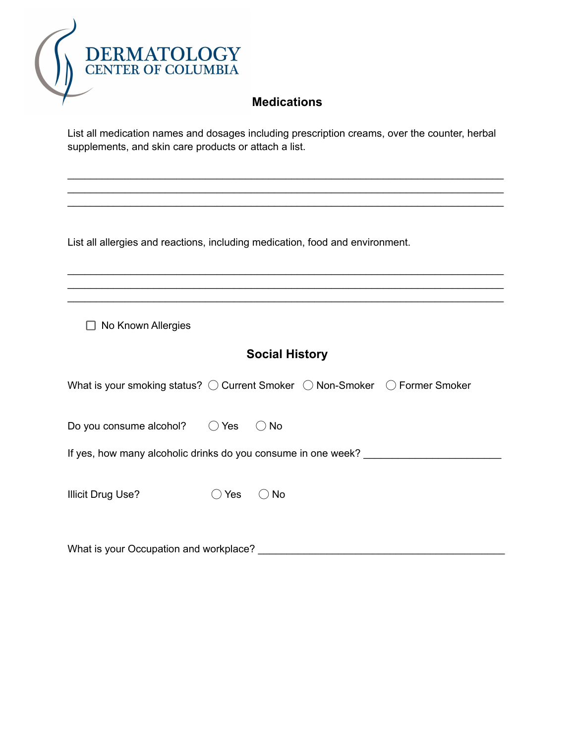

## **Medications**

List all medication names and dosages including prescription creams, over the counter, herbal supplements, and skin care products or attach a list.

\_\_\_\_\_\_\_\_\_\_\_\_\_\_\_\_\_\_\_\_\_\_\_\_\_\_\_\_\_\_\_\_\_\_\_\_\_\_\_\_\_\_\_\_\_\_\_\_\_\_\_\_\_\_\_\_\_\_\_\_\_\_\_\_\_\_\_\_\_\_\_\_\_\_\_\_

\_\_\_\_\_\_\_\_\_\_\_\_\_\_\_\_\_\_\_\_\_\_\_\_\_\_\_\_\_\_\_\_\_\_\_\_\_\_\_\_\_\_\_\_\_\_\_\_\_\_\_\_\_\_\_\_\_\_\_\_\_\_\_\_\_\_\_\_\_\_\_\_\_\_\_\_

\_\_\_\_\_\_\_\_\_\_\_\_\_\_\_\_\_\_\_\_\_\_\_\_\_\_\_\_\_\_\_\_\_\_\_\_\_\_\_\_\_\_\_\_\_\_\_\_\_\_\_\_\_\_\_\_\_\_\_\_\_\_\_\_\_\_\_\_\_\_\_\_\_\_\_\_ \_\_\_\_\_\_\_\_\_\_\_\_\_\_\_\_\_\_\_\_\_\_\_\_\_\_\_\_\_\_\_\_\_\_\_\_\_\_\_\_\_\_\_\_\_\_\_\_\_\_\_\_\_\_\_\_\_\_\_\_\_\_\_\_\_\_\_\_\_\_\_\_\_\_\_\_ \_\_\_\_\_\_\_\_\_\_\_\_\_\_\_\_\_\_\_\_\_\_\_\_\_\_\_\_\_\_\_\_\_\_\_\_\_\_\_\_\_\_\_\_\_\_\_\_\_\_\_\_\_\_\_\_\_\_\_\_\_\_\_\_\_\_\_\_\_\_\_\_\_\_\_\_

\_\_\_\_\_\_\_\_\_\_\_\_\_\_\_\_\_\_\_\_\_\_\_\_\_\_\_\_\_\_\_\_\_\_\_\_\_\_\_\_\_\_\_\_\_\_\_\_\_\_\_\_\_\_\_\_\_\_\_\_\_\_\_\_\_\_\_\_\_\_\_\_\_\_\_\_

List all allergies and reactions, including medication, food and environment.

 $\Box$  No Known Allergies

# **Social History**

| What is your smoking status? $\bigcirc$ Current Smoker $\bigcirc$ Non-Smoker $\bigcirc$ Former Smoker |     |         |  |  |
|-------------------------------------------------------------------------------------------------------|-----|---------|--|--|
| Do you consume alcohol? $\bigcirc$ Yes                                                                |     | $()$ No |  |  |
| If yes, how many alcoholic drinks do you consume in one week?                                         |     |         |  |  |
| Illicit Drug Use?                                                                                     | Yes | No.     |  |  |
|                                                                                                       |     |         |  |  |

What is your Occupation and workplace? **What is your Occupation and workplace?**